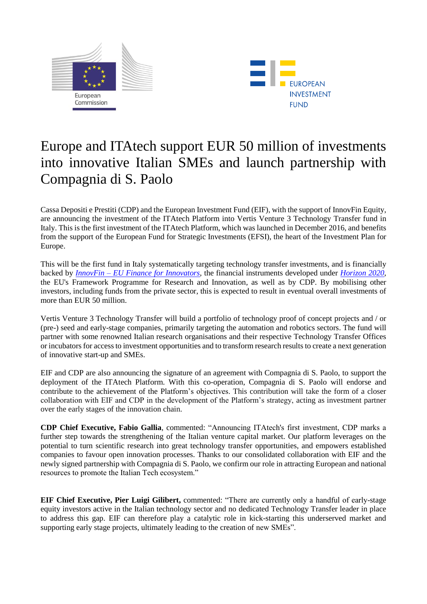



# Europe and ITAtech support EUR 50 million of investments into innovative Italian SMEs and launch partnership with Compagnia di S. Paolo

Cassa Depositi e Prestiti (CDP) and the European Investment Fund (EIF), with the support of InnovFin Equity, are announcing the investment of the ITAtech Platform into Vertis Venture 3 Technology Transfer fund in Italy. This is the first investment of the ITAtech Platform, which was launched in December 2016, and benefits from the support of the European Fund for Strategic Investments (EFSI), the heart of the Investment Plan for Europe.

This will be the first fund in Italy systematically targeting technology transfer investments, and is financially backed by *InnovFin – [EU Finance for Innovators](http://www.eib.org/products/blending/innovfin/products/index.htm)*, the financial instruments developed under *[Horizon 2020](http://ec.europa.eu/programmes/horizon2020/en)*, the EU's Framework Programme for Research and Innovation, as well as by CDP. By mobilising other investors, including funds from the private sector, this is expected to result in eventual overall investments of more than EUR 50 million.

Vertis Venture 3 Technology Transfer will build a portfolio of technology proof of concept projects and / or (pre-) seed and early-stage companies, primarily targeting the automation and robotics sectors. The fund will partner with some renowned Italian research organisations and their respective Technology Transfer Offices or incubatorsfor access to investment opportunities and to transform research results to create a next generation of innovative start-up and SMEs.

EIF and CDP are also announcing the signature of an agreement with Compagnia di S. Paolo, to support the deployment of the ITAtech Platform. With this co-operation, Compagnia di S. Paolo will endorse and contribute to the achievement of the Platform's objectives. This contribution will take the form of a closer collaboration with EIF and CDP in the development of the Platform's strategy, acting as investment partner over the early stages of the innovation chain.

**CDP Chief Executive, Fabio Gallia**, commented: "Announcing ITAtech's first investment, CDP marks a further step towards the strengthening of the Italian venture capital market. Our platform leverages on the potential to turn scientific research into great technology transfer opportunities, and empowers established companies to favour open innovation processes. Thanks to our consolidated collaboration with EIF and the newly signed partnership with Compagnia di S. Paolo, we confirm our role in attracting European and national resources to promote the Italian Tech ecosystem."

**EIF Chief Executive, Pier Luigi Gilibert,** commented: "There are currently only a handful of early-stage equity investors active in the Italian technology sector and no dedicated Technology Transfer leader in place to address this gap. EIF can therefore play a catalytic role in kick-starting this underserved market and supporting early stage projects, ultimately leading to the creation of new SMEs".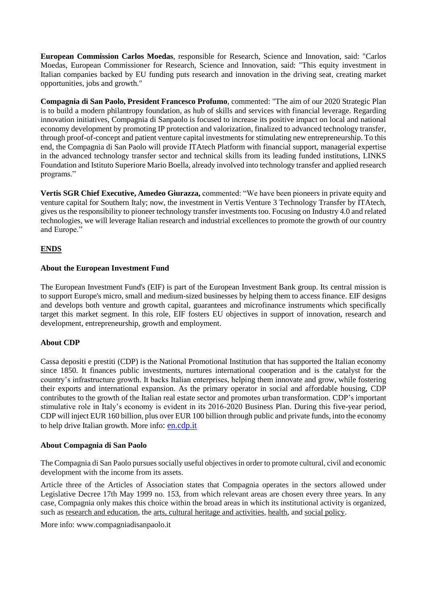**European Commission Carlos Moedas**, responsible for Research, Science and Innovation, said: "Carlos Moedas, European Commissioner for Research, Science and Innovation, said: "This equity investment in Italian companies backed by EU funding puts research and innovation in the driving seat, creating market opportunities, jobs and growth."

**Compagnia di San Paolo, President Francesco Profumo**, commented: "The aim of our 2020 Strategic Plan is to build a modern philantropy foundation, as hub of skills and services with financial leverage. Regarding innovation initiatives, Compagnia di Sanpaolo is focused to increase its positive impact on local and national economy development by promoting IP protection and valorization, finalized to advanced technology transfer, through proof-of-concept and patient venture capital investments for stimulating new entrepreneurship. To this end, the Compagnia di San Paolo will provide ITAtech Platform with financial support, managerial expertise in the advanced technology transfer sector and technical skills from its leading funded institutions, LINKS Foundation and Istituto Superiore Mario Boella, already involved into technology transfer and applied research programs."

**Vertis SGR Chief Executive, Amedeo Giurazza,** commented: "We have been pioneers in private equity and venture capital for Southern Italy; now, the investment in Vertis Venture 3 Technology Transfer by ITAtech, gives us the responsibility to pioneer technology transfer investments too. Focusing on Industry 4.0 and related technologies, we will leverage Italian research and industrial excellences to promote the growth of our country and Europe."

# **ENDS**

#### **About the European Investment Fund**

The European Investment Fund's (EIF) is part of the European Investment Bank group. Its central mission is to support Europe's micro, small and medium-sized businesses by helping them to access finance. EIF designs and develops both venture and growth capital, guarantees and microfinance instruments which specifically target this market segment. In this role, EIF fosters EU objectives in support of innovation, research and development, entrepreneurship, growth and employment.

#### **About CDP**

Cassa depositi e prestiti (CDP) is the National Promotional Institution that has supported the Italian economy since 1850. It finances public investments, nurtures international cooperation and is the catalyst for the country's infrastructure growth. It backs Italian enterprises, helping them innovate and grow, while fostering their exports and international expansion. As the primary operator in social and affordable housing, CDP contributes to the growth of the Italian real estate sector and promotes urban transformation. CDP's important stimulative role in Italy's economy is evident in its 2016-2020 Business Plan. During this five-year period, CDP will inject EUR 160 billion, plus over EUR 100 billion through public and private funds, into the economy to help drive Italian growth. More info: [en.cdp.it](http://en.cdp.it/)

#### **About Compagnia di San Paolo**

The Compagnia di San Paolo pursues socially useful objectives in order to promote cultural, civil and economic development with the income from its assets.

Article three of the Articles of Association states that Compagnia operates in the sectors allowed under Legislative Decree 17th May 1999 no. 153, from which relevant areas are chosen every three years. In any case, Compagnia only makes this choice within the broad areas in which its institutional activity is organized, such as [research and education,](http://www.compagniadisanpaolo.it/eng/Operational-Departments/Research-and-Health) the [arts, cultural heritage and activities,](http://www.compagniadisanpaolo.it/eng/Operational-Departments/Art-Cultural-Activities-and-Heritage) [health,](http://www.compagniadisanpaolo.it/eng/Operational-Departments/Research-and-Health) an[d social policy.](http://www.compagniadisanpaolo.it/eng/Operational-Departments/Social-Policies)

More info: www.compagniadisanpaolo.it